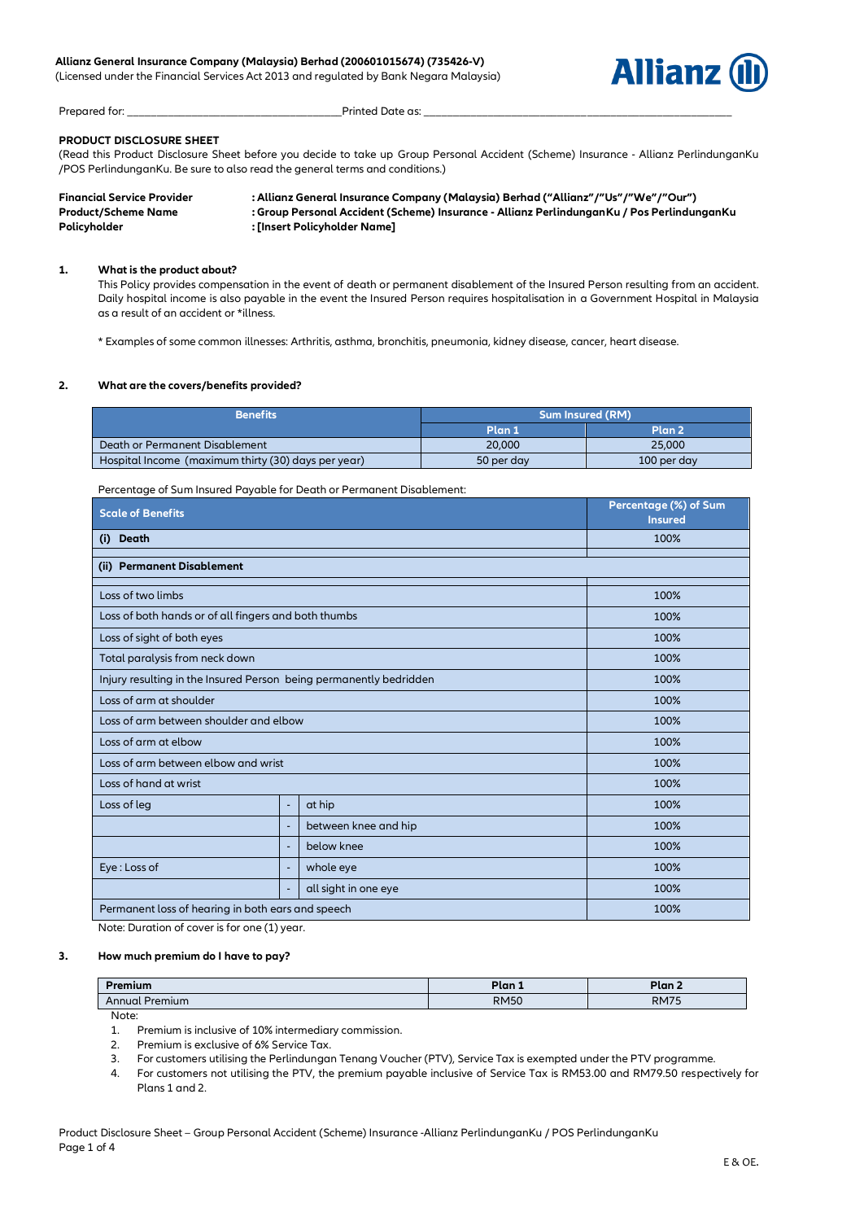(Licensed under the Financial Services Act 2013 and regulated by Bank Negara Malaysia)



Prepared for: \_\_\_\_\_\_\_\_\_\_\_\_\_\_\_\_\_\_\_\_\_\_\_\_\_\_\_\_\_\_\_\_\_\_\_\_\_Printed Date as: \_\_\_\_\_\_\_\_\_\_\_\_\_\_\_\_\_\_\_\_\_\_\_\_\_\_\_\_\_\_\_\_\_\_\_\_\_\_\_\_\_\_\_\_\_\_\_\_\_\_\_\_\_

# **PRODUCT DISCLOSURE SHEET**

(Read this Product Disclosure Sheet before you decide to take up Group Personal Accident (Scheme) Insurance - Allianz PerlindunganKu /POS PerlindunganKu. Be sure to also read the general terms and conditions.)

| <b>Financial Service Provider</b> | : Allianz General Insurance Company (Malaysia) Berhad ("Allianz"/"Us"/"We"/"Our")          |
|-----------------------------------|--------------------------------------------------------------------------------------------|
| <b>Product/Scheme Name</b>        | : Group Personal Accident (Scheme) Insurance - Allianz PerlindunganKu / Pos PerlindunganKu |
| <b>Policyholder</b>               | : [Insert Policyholder Name] :                                                             |

#### **1. What is the product about?**

This Policy provides compensation in the event of death or permanent disablement of the Insured Person resulting from an accident. Daily hospital income is also payable in the event the Insured Person requires hospitalisation in a Government Hospital in Malaysia as a result of an accident or \*illness.

\* Examples of some common illnesses: Arthritis, asthma, bronchitis, pneumonia, kidney disease, cancer, heart disease.

#### **2. What are the covers/benefits provided?**

| <b>Benefits</b>                                     | <b>Sum Insured (RM)</b> |                   |  |
|-----------------------------------------------------|-------------------------|-------------------|--|
|                                                     | <b>.Plan 1</b>          | Plan <sub>2</sub> |  |
| Death or Permanent Disablement                      | 20,000                  | 25,000            |  |
| Hospital Income (maximum thirty (30) days per year) | 50 per day              | 100 per day       |  |

Percentage of Sum Insured Payable for Death or Permanent Disablement:

| <b>Scale of Benefits</b>                                           |                          |                      | Percentage (%) of Sum<br><b>Insured</b> |  |  |
|--------------------------------------------------------------------|--------------------------|----------------------|-----------------------------------------|--|--|
| (i) Death                                                          |                          |                      | 100%                                    |  |  |
| (ii) Permanent Disablement                                         |                          |                      |                                         |  |  |
| Loss of two limbs                                                  |                          |                      | 100%                                    |  |  |
| Loss of both hands or of all fingers and both thumbs               |                          |                      | 100%                                    |  |  |
| Loss of sight of both eyes                                         |                          |                      | 100%                                    |  |  |
| Total paralysis from neck down                                     |                          |                      | 100%                                    |  |  |
| Injury resulting in the Insured Person being permanently bedridden |                          |                      | 100%                                    |  |  |
| Loss of arm at shoulder                                            |                          |                      | 100%                                    |  |  |
| Loss of arm between shoulder and elbow                             |                          |                      | 100%                                    |  |  |
| Loss of arm at elbow                                               |                          |                      | 100%                                    |  |  |
| Loss of arm between elbow and wrist                                | 100%                     |                      |                                         |  |  |
| Loss of hand at wrist                                              |                          |                      | 100%                                    |  |  |
| Loss of leg                                                        | $\overline{\phantom{a}}$ | at hip               | 100%                                    |  |  |
|                                                                    | ÷,                       | between knee and hip | 100%                                    |  |  |
|                                                                    | $\overline{\phantom{a}}$ | below knee           | 100%                                    |  |  |
| Eye: Loss of                                                       | $\overline{\phantom{a}}$ | whole eye            | 100%                                    |  |  |
|                                                                    | ÷,                       | all sight in one eye | 100%                                    |  |  |
| Permanent loss of hearing in both ears and speech                  |                          |                      | 100%                                    |  |  |

Note: Duration of cover is for one (1) year.

#### **3. How much premium do I have to pay?**

| Premium           | Plan 1      | Plan        |
|-------------------|-------------|-------------|
| Annual<br>Premium | <b>RM50</b> | <b>RM75</b> |

Note:

1. Premium is inclusive of 10% intermediary commission.

- 2. Premium is exclusive of 6% Service Tax.
- 3. For customers utilising the Perlindungan Tenang Voucher (PTV), Service Tax is exempted under the PTV programme.
- 4. For customers not utilising the PTV, the premium payable inclusive of Service Tax is RM53.00 and RM79.50 respectively for Plans 1 and 2.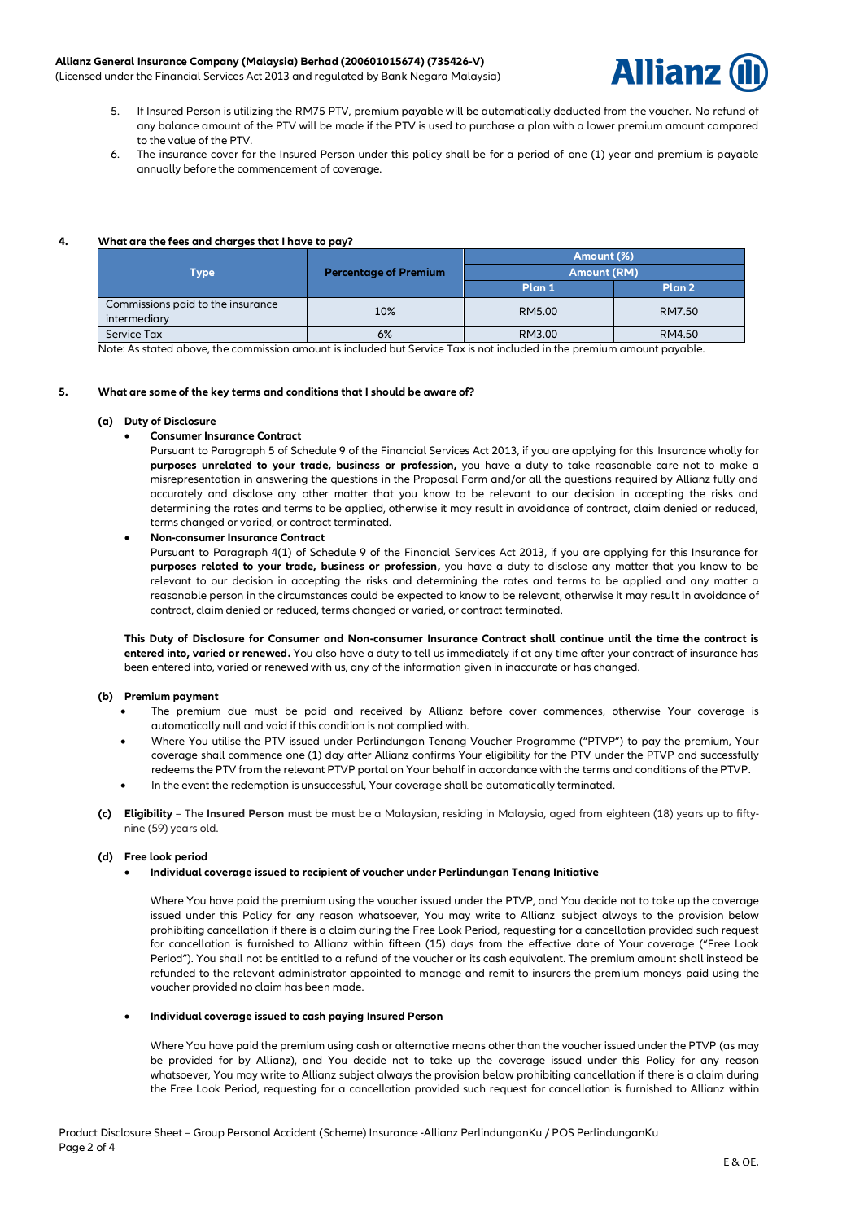## **Allianz General Insurance Company (Malaysia) Berhad (200601015674) (735426-V)**

(Licensed under the Financial Services Act 2013 and regulated by Bank Negara Malaysia)



- 5. If Insured Person is utilizing the RM75 PTV, premium payable will be automatically deducted from the voucher. No refund of any balance amount of the PTV will be made if the PTV is used to purchase a plan with a lower premium amount compared to the value of the PTV.
- The insurance cover for the Insured Person under this policy shall be for a period of one (1) year and premium is payable annually before the commencement of coverage.

### **4. What are the fees and charges that I have to pay?**

|                                   | <b>Percentage of Premium</b> | Amount (%)         |        |  |
|-----------------------------------|------------------------------|--------------------|--------|--|
| Type                              |                              | <b>Amount (RM)</b> |        |  |
|                                   |                              | Plan 1             | Plan 2 |  |
| Commissions paid to the insurance | 10%                          | RM5.00             | RM7.50 |  |
| intermediary                      |                              |                    |        |  |
| Service Tax                       | 6%                           | RM3.00             | RM4.50 |  |

Note: As stated above, the commission amount is included but Service Tax is not included in the premium amount payable.

### **5. What are some of the key terms and conditions that I should be aware of?**

### **(a) Duty of Disclosure**

### • **Consumer Insurance Contract**

Pursuant to Paragraph 5 of Schedule 9 of the Financial Services Act 2013, if you are applying for this Insurance wholly for **purposes unrelated to your trade, business or profession,** you have a duty to take reasonable care not to make a misrepresentation in answering the questions in the Proposal Form and/or all the questions required by Allianz fully and accurately and disclose any other matter that you know to be relevant to our decision in accepting the risks and determining the rates and terms to be applied, otherwise it may result in avoidance of contract, claim denied or reduced, terms changed or varied, or contract terminated.

• **Non-consumer Insurance Contract**

Pursuant to Paragraph 4(1) of Schedule 9 of the Financial Services Act 2013, if you are applying for this Insurance for **purposes related to your trade, business or profession,** you have a duty to disclose any matter that you know to be relevant to our decision in accepting the risks and determining the rates and terms to be applied and any matter a reasonable person in the circumstances could be expected to know to be relevant, otherwise it may result in avoidance of contract, claim denied or reduced, terms changed or varied, or contract terminated.

**This Duty of Disclosure for Consumer and Non-consumer Insurance Contract shall continue until the time the contract is entered into, varied or renewed.** You also have a duty to tell us immediately if at any time after your contract of insurance has been entered into, varied or renewed with us, any of the information given in inaccurate or has changed.

### **(b) Premium payment**

- The premium due must be paid and received by Allianz before cover commences, otherwise Your coverage is automatically null and void if this condition is not complied with.
- Where You utilise the PTV issued under Perlindungan Tenang Voucher Programme ("PTVP") to pay the premium, Your coverage shall commence one (1) day after Allianz confirms Your eligibility for the PTV under the PTVP and successfully redeems the PTV from the relevant PTVP portal on Your behalf in accordance with the terms and conditions of the PTVP.
- In the event the redemption is unsuccessful, Your coverage shall be automatically terminated.
- **(c) Eligibility** The **Insured Person** must be must be a Malaysian, residing in Malaysia, aged from eighteen (18) years up to fiftynine (59) years old.

### **(d) Free look period**

• **Individual coverage issued to recipient of voucher under Perlindungan Tenang Initiative**

Where You have paid the premium using the voucher issued under the PTVP, and You decide not to take up the coverage issued under this Policy for any reason whatsoever, You may write to Allianz subject always to the provision below prohibiting cancellation if there is a claim during the Free Look Period, requesting for a cancellation provided such request for cancellation is furnished to Allianz within fifteen (15) days from the effective date of Your coverage ("Free Look Period"). You shall not be entitled to a refund of the voucher or its cash equivalent. The premium amount shall instead be refunded to the relevant administrator appointed to manage and remit to insurers the premium moneys paid using the voucher provided no claim has been made.

#### • **Individual coverage issued to cash paying Insured Person**

Where You have paid the premium using cash or alternative means other than the voucher issued under the PTVP (as may be provided for by Allianz), and You decide not to take up the coverage issued under this Policy for any reason whatsoever, You may write to Allianz subject always the provision below prohibiting cancellation if there is a claim during the Free Look Period, requesting for a cancellation provided such request for cancellation is furnished to Allianz within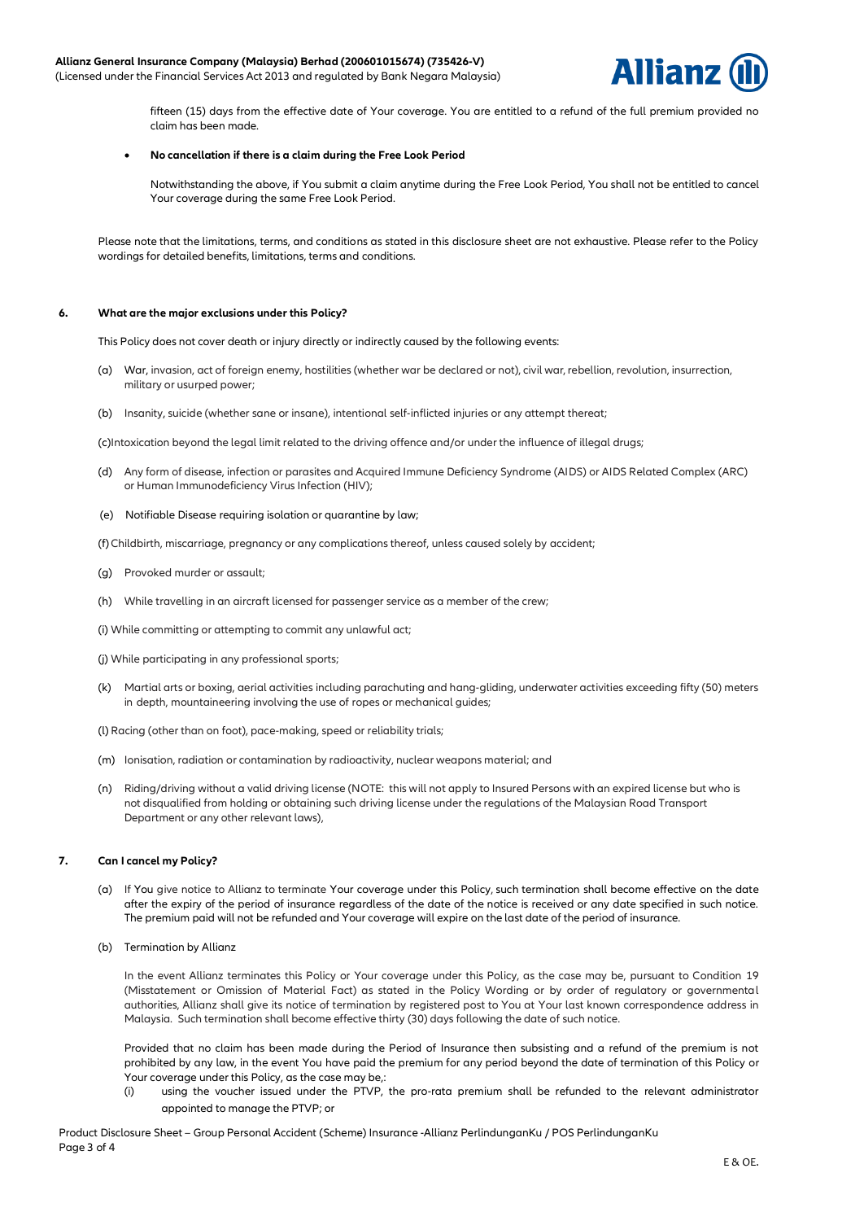

fifteen (15) days from the effective date of Your coverage. You are entitled to a refund of the full premium provided no claim has been made.

### • **No cancellation if there is a claim during the Free Look Period**

Notwithstanding the above, if You submit a claim anytime during the Free Look Period, You shall not be entitled to cancel Your coverage during the same Free Look Period.

Please note that the limitations, terms, and conditions as stated in this disclosure sheet are not exhaustive. Please refer to the Policy wordings for detailed benefits, limitations, terms and conditions.

### **6. What are the major exclusions under this Policy?**

This Policy does not cover death or injury directly or indirectly caused by the following events:

- (a) War, invasion, act of foreign enemy, hostilities (whether war be declared or not), civil war, rebellion, revolution, insurrection, military or usurped power;
- (b) Insanity, suicide (whether sane or insane), intentional self-inflicted injuries or any attempt thereat;

(c)Intoxication beyond the legal limit related to the driving offence and/or under the influence of illegal drugs;

- (d) Any form of disease, infection or parasites and Acquired Immune Deficiency Syndrome (AIDS) or AIDS Related Complex (ARC) or Human Immunodeficiency Virus Infection (HIV);
- (e) Notifiable Disease requiring isolation or quarantine by law;

(f) Childbirth, miscarriage, pregnancy or any complications thereof, unless caused solely by accident;

- (g) Provoked murder or assault;
- (h) While travelling in an aircraft licensed for passenger service as a member of the crew;
- (i) While committing or attempting to commit any unlawful act;
- (j) While participating in any professional sports;
- (k) Martial arts or boxing, aerial activities including parachuting and hang-gliding, underwater activities exceeding fifty (50) meters in depth, mountaineering involving the use of ropes or mechanical guides;
- (l) Racing (other than on foot), pace-making, speed or reliability trials;
- (m) Ionisation, radiation or contamination by radioactivity, nuclear weapons material; and
- (n) Riding/driving without a valid driving license (NOTE: this will not apply to Insured Persons with an expired license but who is not disqualified from holding or obtaining such driving license under the regulations of the Malaysian Road Transport Department or any other relevant laws),

### **7. Can I cancel my Policy?**

- (a) If You give notice to Allianz to terminate Your coverage under this Policy, such termination shall become effective on the date after the expiry of the period of insurance regardless of the date of the notice is received or any date specified in such notice. The premium paid will not be refunded and Your coverage will expire on the last date of the period of insurance.
- (b) Termination by Allianz

In the event Allianz terminates this Policy or Your coverage under this Policy, as the case may be, pursuant to Condition 19 (Misstatement or Omission of Material Fact) as stated in the Policy Wording or by order of regulatory or governmental authorities, Allianz shall give its notice of termination by registered post to You at Your last known correspondence address in Malaysia. Such termination shall become effective thirty (30) days following the date of such notice.

Provided that no claim has been made during the Period of Insurance then subsisting and a refund of the premium is not prohibited by any law, in the event You have paid the premium for any period beyond the date of termination of this Policy or Your coverage under this Policy, as the case may be,:

(i) using the voucher issued under the PTVP, the pro-rata premium shall be refunded to the relevant administrator appointed to manage the PTVP; or

Product Disclosure Sheet – Group Personal Accident (Scheme) Insurance -Allianz PerlindunganKu / POS PerlindunganKu Page 3 of 4